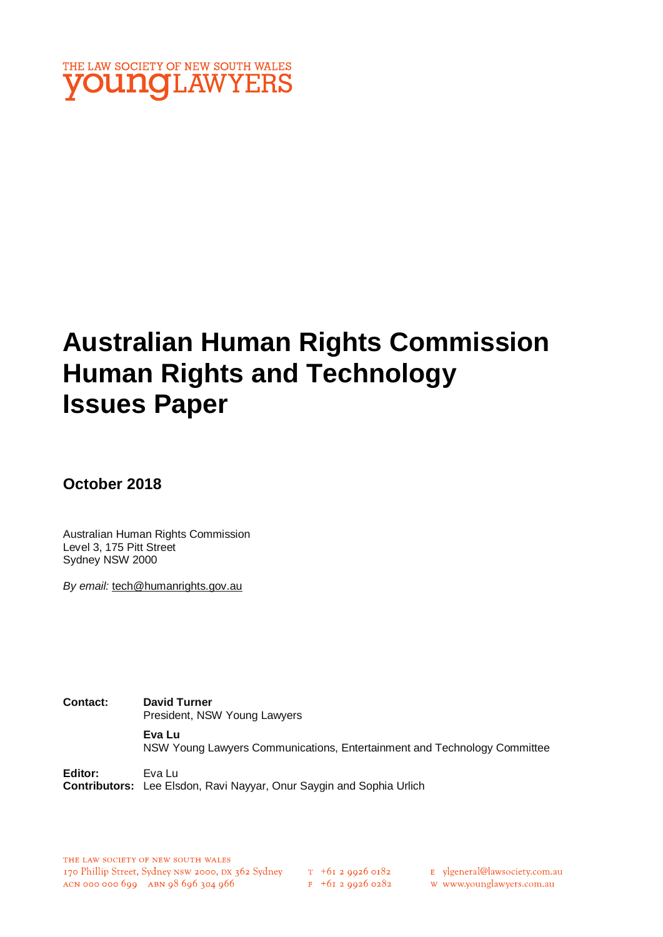

# **Australian Human Rights Commission Human Rights and Technology Issues Paper**

**October 2018**

Australian Human Rights Commission Level 3, 175 Pitt Street Sydney NSW 2000

*By email:* tech@humanrights.gov.au

**Contact: David Turner**  President, NSW Young Lawyers **Eva Lu** NSW Young Lawyers Communications, Entertainment and Technology Committee

**Editor:** Eva Lu **Contributors:** Lee Elsdon, Ravi Nayyar, Onur Saygin and Sophia Urlich

E ylgeneral@lawsociety.com.au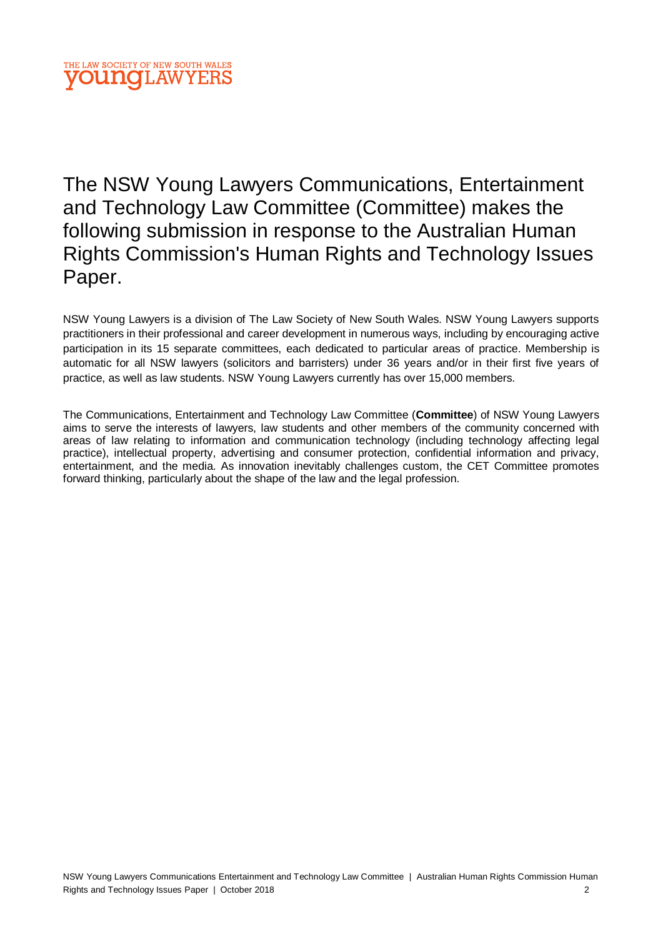The NSW Young Lawyers Communications, Entertainment and Technology Law Committee (Committee) makes the following submission in response to the Australian Human Rights Commission's Human Rights and Technology Issues Paper.

NSW Young Lawyers is a division of The Law Society of New South Wales. NSW Young Lawyers supports practitioners in their professional and career development in numerous ways, including by encouraging active participation in its 15 separate committees, each dedicated to particular areas of practice. Membership is automatic for all NSW lawyers (solicitors and barristers) under 36 years and/or in their first five years of practice, as well as law students. NSW Young Lawyers currently has over 15,000 members.

The Communications, Entertainment and Technology Law Committee (**Committee**) of NSW Young Lawyers aims to serve the interests of lawyers, law students and other members of the community concerned with areas of law relating to information and communication technology (including technology affecting legal practice), intellectual property, advertising and consumer protection, confidential information and privacy, entertainment, and the media. As innovation inevitably challenges custom, the CET Committee promotes forward thinking, particularly about the shape of the law and the legal profession.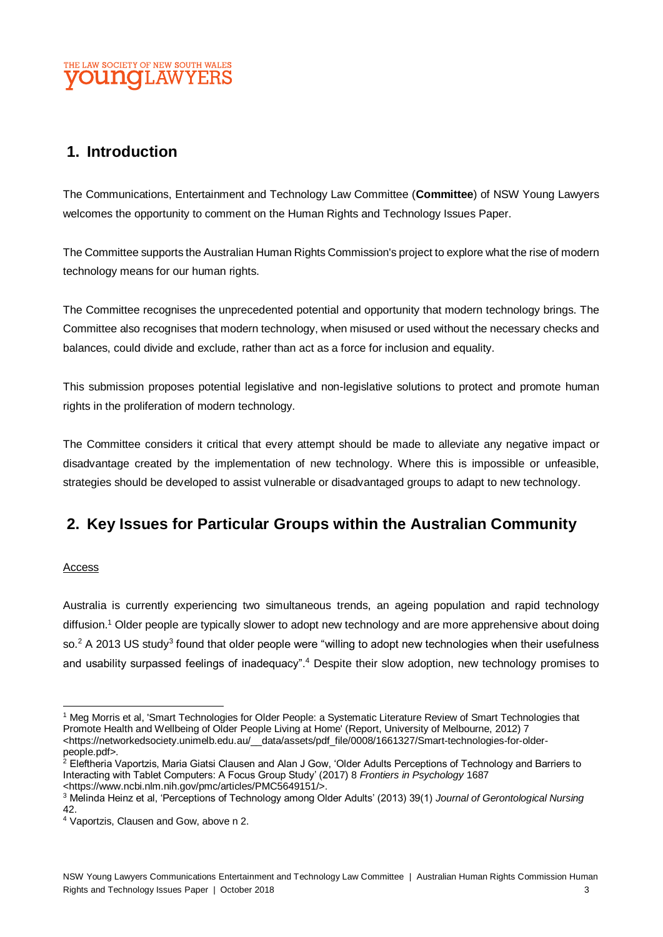# **1. Introduction**

The Communications, Entertainment and Technology Law Committee (**Committee**) of NSW Young Lawyers welcomes the opportunity to comment on the Human Rights and Technology Issues Paper.

The Committee supports the Australian Human Rights Commission's project to explore what the rise of modern technology means for our human rights.

The Committee recognises the unprecedented potential and opportunity that modern technology brings. The Committee also recognises that modern technology, when misused or used without the necessary checks and balances, could divide and exclude, rather than act as a force for inclusion and equality.

This submission proposes potential legislative and non-legislative solutions to protect and promote human rights in the proliferation of modern technology.

The Committee considers it critical that every attempt should be made to alleviate any negative impact or disadvantage created by the implementation of new technology. Where this is impossible or unfeasible, strategies should be developed to assist vulnerable or disadvantaged groups to adapt to new technology.

# **2. Key Issues for Particular Groups within the Australian Community**

#### Access

Australia is currently experiencing two simultaneous trends, an ageing population and rapid technology diffusion.<sup>1</sup> Older people are typically slower to adopt new technology and are more apprehensive about doing so.<sup>2</sup> A 2013 US study<sup>3</sup> found that older people were "willing to adopt new technologies when their usefulness and usability surpassed feelings of inadequacy".<sup>4</sup> Despite their slow adoption, new technology promises to

l <sup>1</sup> Meg Morris et al, 'Smart Technologies for Older People: a Systematic Literature Review of Smart Technologies that Promote Health and Wellbeing of Older People Living at Home' (Report, University of Melbourne, 2012) 7 <https://networkedsociety.unimelb.edu.au/\_\_data/assets/pdf\_file/0008/1661327/Smart-technologies-for-olderpeople.pdf>.

<sup>&</sup>lt;sup>2</sup> Eleftheria Vaportzis, Maria Giatsi Clausen and Alan J Gow, 'Older Adults Perceptions of Technology and Barriers to Interacting with Tablet Computers: A Focus Group Study' (2017) 8 *Frontiers in Psychology* 1687 <https://www.ncbi.nlm.nih.gov/pmc/articles/PMC5649151/>.

<sup>3</sup> Melinda Heinz et al, 'Perceptions of Technology among Older Adults' (2013) 39(1) *Journal of Gerontological Nursing* 42.

<sup>4</sup> Vaportzis, Clausen and Gow, above n 2.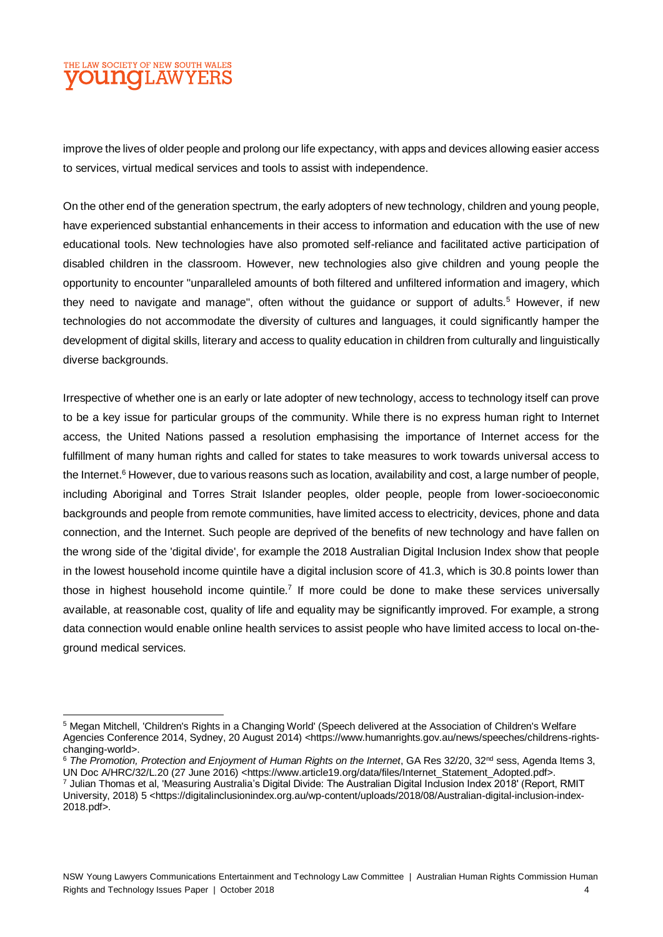l

improve the lives of older people and prolong our life expectancy, with apps and devices allowing easier access to services, virtual medical services and tools to assist with independence.

On the other end of the generation spectrum, the early adopters of new technology, children and young people, have experienced substantial enhancements in their access to information and education with the use of new educational tools. New technologies have also promoted self-reliance and facilitated active participation of disabled children in the classroom. However, new technologies also give children and young people the opportunity to encounter "unparalleled amounts of both filtered and unfiltered information and imagery, which they need to navigate and manage", often without the quidance or support of adults.<sup>5</sup> However, if new technologies do not accommodate the diversity of cultures and languages, it could significantly hamper the development of digital skills, literary and access to quality education in children from culturally and linguistically diverse backgrounds.

Irrespective of whether one is an early or late adopter of new technology, access to technology itself can prove to be a key issue for particular groups of the community. While there is no express human right to Internet access, the United Nations passed a resolution emphasising the importance of Internet access for the fulfillment of many human rights and called for states to take measures to work towards universal access to the Internet.<sup>6</sup> However, due to various reasons such as location, availability and cost, a large number of people, including Aboriginal and Torres Strait Islander peoples, older people, people from lower-socioeconomic backgrounds and people from remote communities, have limited access to electricity, devices, phone and data connection, and the Internet. Such people are deprived of the benefits of new technology and have fallen on the wrong side of the 'digital divide', for example the 2018 Australian Digital Inclusion Index show that people in the lowest household income quintile have a digital inclusion score of 41.3, which is 30.8 points lower than those in highest household income quintile.<sup>7</sup> If more could be done to make these services universally available, at reasonable cost, quality of life and equality may be significantly improved. For example, a strong data connection would enable online health services to assist people who have limited access to local on-theground medical services.

<sup>5</sup> Megan Mitchell, 'Children's Rights in a Changing World' (Speech delivered at the Association of Children's Welfare Agencies Conference 2014, Sydney, 20 August 2014) <https://www.humanrights.gov.au/news/speeches/childrens-rightschanging-world>.

<sup>&</sup>lt;sup>6</sup> The Promotion, Protection and Enjoyment of Human Rights on the Internet, GA Res 32/20, 32<sup>nd</sup> sess, Agenda Items 3, UN Doc A/HRC/32/L.20 (27 June 2016) <https://www.article19.org/data/files/Internet\_Statement\_Adopted.pdf>. <sup>7</sup> Julian Thomas et al, 'Measuring Australia's Digital Divide: The Australian Digital Inclusion Index 2018' (Report, RMIT University, 2018) 5 <https://digitalinclusionindex.org.au/wp-content/uploads/2018/08/Australian-digital-inclusion-index-2018.pdf>.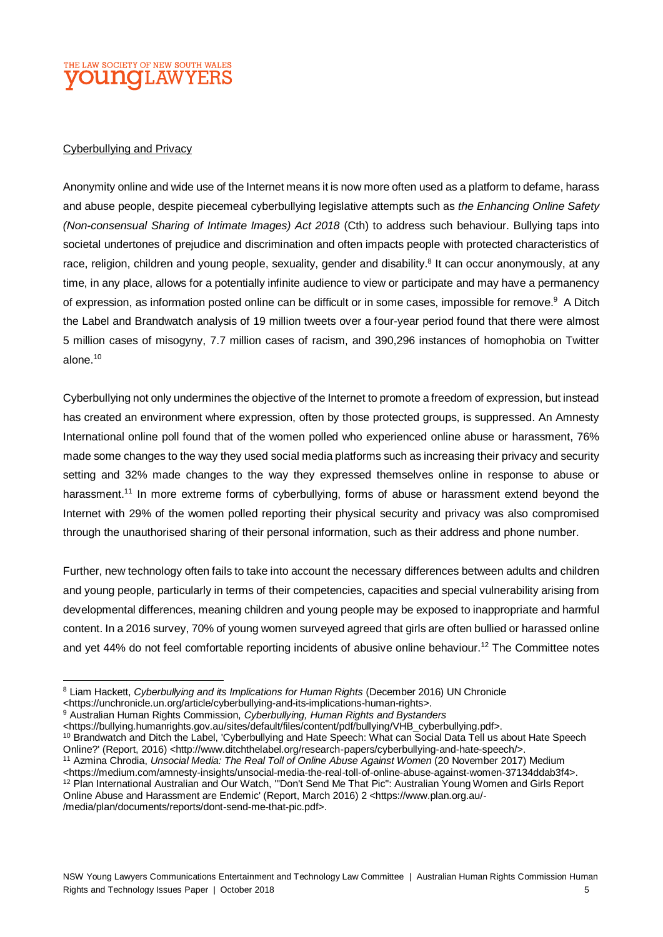#### Cyberbullying and Privacy

Anonymity online and wide use of the Internet means it is now more often used as a platform to defame, harass and abuse people, despite piecemeal cyberbullying legislative attempts such as *the Enhancing Online Safety (Non-consensual Sharing of Intimate Images) Act 2018* (Cth) to address such behaviour. Bullying taps into societal undertones of prejudice and discrimination and often impacts people with protected characteristics of race, religion, children and young people, sexuality, gender and disability.<sup>8</sup> It can occur anonymously, at any time, in any place, allows for a potentially infinite audience to view or participate and may have a permanency of expression, as information posted online can be difficult or in some cases, impossible for remove.<sup>9</sup> A Ditch the Label and Brandwatch analysis of 19 million tweets over a four-year period found that there were almost 5 million cases of misogyny, 7.7 million cases of racism, and 390,296 instances of homophobia on Twitter alone.<sup>10</sup>

Cyberbullying not only undermines the objective of the Internet to promote a freedom of expression, but instead has created an environment where expression, often by those protected groups, is suppressed. An Amnesty International online poll found that of the women polled who experienced online abuse or harassment, 76% made some changes to the way they used social media platforms such as increasing their privacy and security setting and 32% made changes to the way they expressed themselves online in response to abuse or harassment.<sup>11</sup> In more extreme forms of cyberbullying, forms of abuse or harassment extend beyond the Internet with 29% of the women polled reporting their physical security and privacy was also compromised through the unauthorised sharing of their personal information, such as their address and phone number.

Further, new technology often fails to take into account the necessary differences between adults and children and young people, particularly in terms of their competencies, capacities and special vulnerability arising from developmental differences, meaning children and young people may be exposed to inappropriate and harmful content. In a 2016 survey, 70% of young women surveyed agreed that girls are often bullied or harassed online and yet 44% do not feel comfortable reporting incidents of abusive online behaviour.<sup>12</sup> The Committee notes

 $\overline{a}$ <sup>8</sup> Liam Hackett, *Cyberbullying and its Implications for Human Rights* (December 2016) UN Chronicle

<sup>&</sup>lt;https://unchronicle.un.org/article/cyberbullying-and-its-implications-human-rights>.

<sup>9</sup> Australian Human Rights Commission, *Cyberbullying, Human Rights and Bystanders*

<sup>&</sup>lt;https://bullying.humanrights.gov.au/sites/default/files/content/pdf/bullying/VHB\_cyberbullying.pdf>.

<sup>10</sup> Brandwatch and Ditch the Label, 'Cyberbullying and Hate Speech: What can Social Data Tell us about Hate Speech Online?' (Report, 2016) <http://www.ditchthelabel.org/research-papers/cyberbullying-and-hate-speech/>.

<sup>11</sup> Azmina Chrodia, *Unsocial Media: The Real Toll of Online Abuse Against Women* (20 November 2017) Medium <https://medium.com/amnesty-insights/unsocial-media-the-real-toll-of-online-abuse-against-women-37134ddab3f4>. <sup>12</sup> Plan International Australian and Our Watch, '"Don't Send Me That Pic": Australian Young Women and Girls Report Online Abuse and Harassment are Endemic' (Report, March 2016) 2 <https://www.plan.org.au/- /media/plan/documents/reports/dont-send-me-that-pic.pdf>.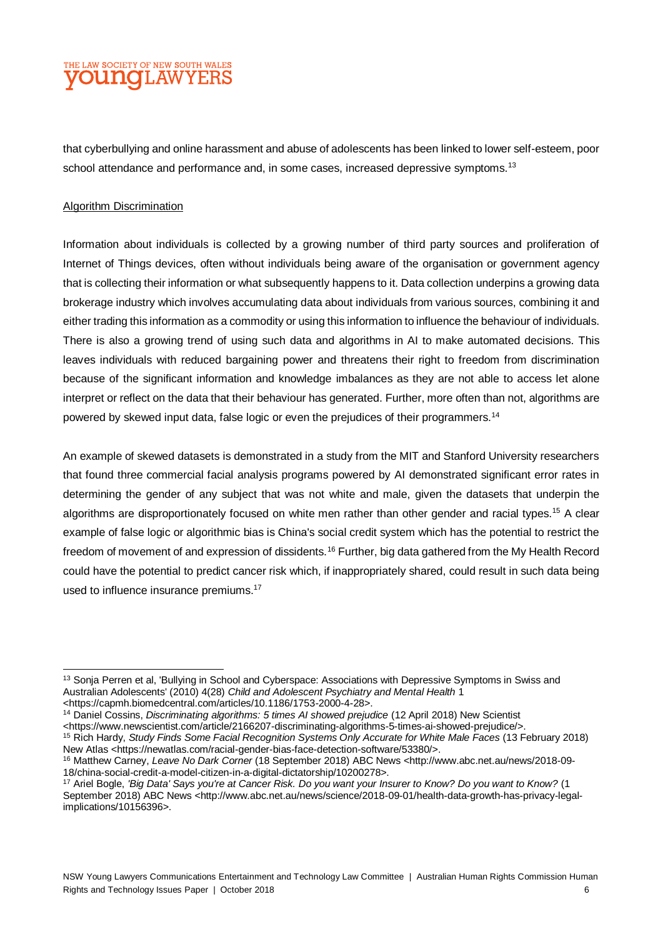that cyberbullying and online harassment and abuse of adolescents has been linked to lower self-esteem, poor school attendance and performance and, in some cases, increased depressive symptoms.<sup>13</sup>

#### Algorithm Discrimination

Information about individuals is collected by a growing number of third party sources and proliferation of Internet of Things devices, often without individuals being aware of the organisation or government agency that is collecting their information or what subsequently happens to it. Data collection underpins a growing data brokerage industry which involves accumulating data about individuals from various sources, combining it and either trading this information as a commodity or using this information to influence the behaviour of individuals. There is also a growing trend of using such data and algorithms in AI to make automated decisions. This leaves individuals with reduced bargaining power and threatens their right to freedom from discrimination because of the significant information and knowledge imbalances as they are not able to access let alone interpret or reflect on the data that their behaviour has generated. Further, more often than not, algorithms are powered by skewed input data, false logic or even the prejudices of their programmers.<sup>14</sup>

An example of skewed datasets is demonstrated in a study from the MIT and Stanford University researchers that found three commercial facial analysis programs powered by AI demonstrated significant error rates in determining the gender of any subject that was not white and male, given the datasets that underpin the algorithms are disproportionately focused on white men rather than other gender and racial types.<sup>15</sup> A clear example of false logic or algorithmic bias is China's social credit system which has the potential to restrict the freedom of movement of and expression of dissidents.<sup>16</sup> Further, big data gathered from the My Health Record could have the potential to predict cancer risk which, if inappropriately shared, could result in such data being used to influence insurance premiums.<sup>17</sup>

<sup>14</sup> Daniel Cossins, *Discriminating algorithms: 5 times AI showed prejudice* (12 April 2018) New Scientist <https://www.newscientist.com/article/2166207-discriminating-algorithms-5-times-ai-showed-prejudice/>.

l <sup>13</sup> Sonia Perren et al, 'Bullying in School and Cyberspace: Associations with Depressive Symptoms in Swiss and Australian Adolescents' (2010) 4(28) *Child and Adolescent Psychiatry and Mental Health* 1

<sup>&</sup>lt;https://capmh.biomedcentral.com/articles/10.1186/1753-2000-4-28>.

<sup>15</sup> Rich Hardy, *Study Finds Some Facial Recognition Systems Only Accurate for White Male Faces* (13 February 2018) New Atlas <https://newatlas.com/racial-gender-bias-face-detection-software/53380/>.

<sup>16</sup> Matthew Carney, *Leave No Dark Corner* (18 September 2018) ABC News <http://www.abc.net.au/news/2018-09- 18/china-social-credit-a-model-citizen-in-a-digital-dictatorship/10200278>.

<sup>17</sup> Ariel Bogle, *'Big Data' Says you're at Cancer Risk. Do you want your Insurer to Know? Do you want to Know?* (1 September 2018) ABC News <http://www.abc.net.au/news/science/2018-09-01/health-data-growth-has-privacy-legalimplications/10156396>.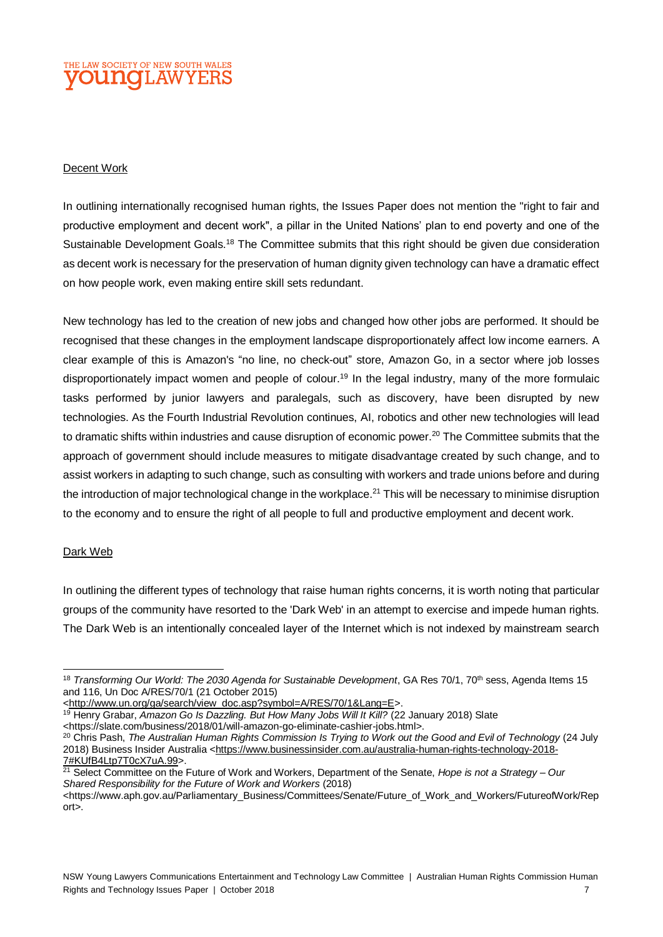#### Decent Work

In outlining internationally recognised human rights, the Issues Paper does not mention the "right to fair and productive employment and decent work", a pillar in the United Nations' plan to end poverty and one of the Sustainable Development Goals.<sup>18</sup> The Committee submits that this right should be given due consideration as decent work is necessary for the preservation of human dignity given technology can have a dramatic effect on how people work, even making entire skill sets redundant.

New technology has led to the creation of new jobs and changed how other jobs are performed. It should be recognised that these changes in the employment landscape disproportionately affect low income earners. A clear example of this is Amazon's "no line, no check-out" store, Amazon Go, in a sector where job losses disproportionately impact women and people of colour.<sup>19</sup> In the legal industry, many of the more formulaic tasks performed by junior lawyers and paralegals, such as discovery, have been disrupted by new technologies. As the Fourth Industrial Revolution continues, AI, robotics and other new technologies will lead to dramatic shifts within industries and cause disruption of economic power.<sup>20</sup> The Committee submits that the approach of government should include measures to mitigate disadvantage created by such change, and to assist workers in adapting to such change, such as consulting with workers and trade unions before and during the introduction of major technological change in the workplace.<sup>21</sup> This will be necessary to minimise disruption to the economy and to ensure the right of all people to full and productive employment and decent work.

#### Dark Web

l

In outlining the different types of technology that raise human rights concerns, it is worth noting that particular groups of the community have resorted to the 'Dark Web' in an attempt to exercise and impede human rights. The Dark Web is an intentionally concealed layer of the Internet which is not indexed by mainstream search

<sup>&</sup>lt;sup>18</sup> Transforming Our World: The 2030 Agenda for Sustainable Development, GA Res 70/1, 70<sup>th</sup> sess, Agenda Items 15 and 116, Un Doc A/RES/70/1 (21 October 2015)

[<sup>&</sup>lt;http://www.un.org/ga/search/view\\_doc.asp?symbol=A/RES/70/1&Lang=E>](http://www.un.org/ga/search/view_doc.asp?symbol=A/RES/70/1&Lang=E).

<sup>19</sup> Henry Grabar, *Amazon Go Is Dazzling. But How Many Jobs Will It Kill?* (22 January 2018) Slate <https://slate.com/business/2018/01/will-amazon-go-eliminate-cashier-jobs.html>.

<sup>20</sup> Chris Pash, *The Australian Human Rights Commission Is Trying to Work out the Good and Evil of Technology* (24 July 2018) Business Insider Australia [<https://www.businessinsider.com.au/australia-human-rights-technology-2018-](https://www.businessinsider.com.au/australia-human-rights-technology-2018-7#KUfB4Ltp7T0cX7uA.99) [7#KUfB4Ltp7T0cX7uA.99>](https://www.businessinsider.com.au/australia-human-rights-technology-2018-7#KUfB4Ltp7T0cX7uA.99).

<sup>21</sup> Select Committee on the Future of Work and Workers, Department of the Senate, *Hope is not a Strategy – Our Shared Responsibility for the Future of Work and Workers* (2018)

<sup>&</sup>lt;https://www.aph.gov.au/Parliamentary\_Business/Committees/Senate/Future\_of\_Work\_and\_Workers/FutureofWork/Rep ort>.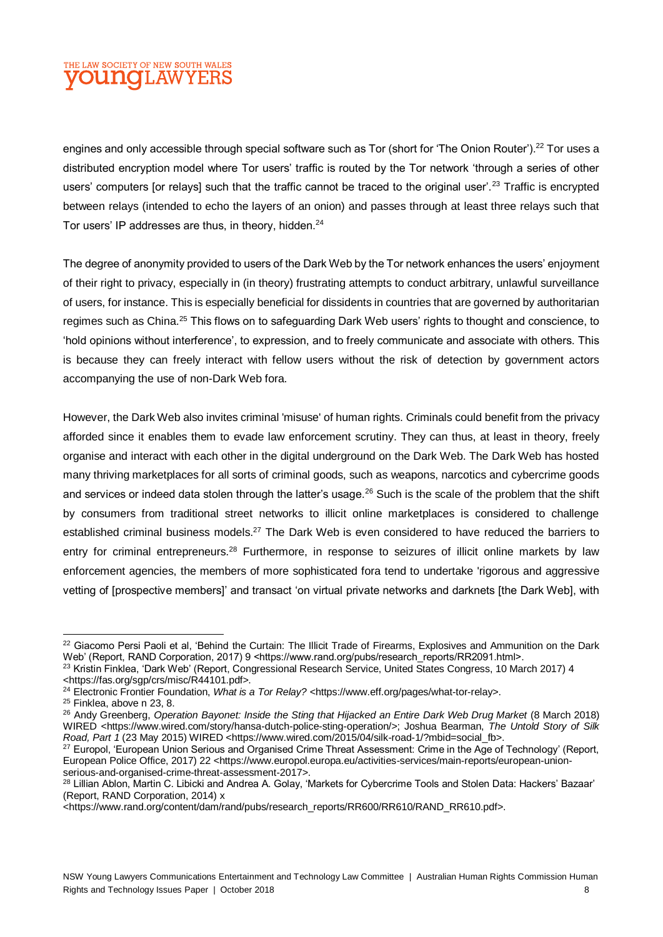engines and only accessible through special software such as Tor (short for 'The Onion Router').<sup>22</sup> Tor uses a distributed encryption model where Tor users' traffic is routed by the Tor network 'through a series of other users' computers [or relays] such that the traffic cannot be traced to the original user'.<sup>23</sup> Traffic is encrypted between relays (intended to echo the layers of an onion) and passes through at least three relays such that Tor users' IP addresses are thus, in theory, hidden.<sup>24</sup>

The degree of anonymity provided to users of the Dark Web by the Tor network enhances the users' enjoyment of their right to privacy, especially in (in theory) frustrating attempts to conduct arbitrary, unlawful surveillance of users, for instance. This is especially beneficial for dissidents in countries that are governed by authoritarian regimes such as China.<sup>25</sup> This flows on to safeguarding Dark Web users' rights to thought and conscience, to 'hold opinions without interference', to expression, and to freely communicate and associate with others. This is because they can freely interact with fellow users without the risk of detection by government actors accompanying the use of non-Dark Web fora.

However, the Dark Web also invites criminal 'misuse' of human rights. Criminals could benefit from the privacy afforded since it enables them to evade law enforcement scrutiny. They can thus, at least in theory, freely organise and interact with each other in the digital underground on the Dark Web. The Dark Web has hosted many thriving marketplaces for all sorts of criminal goods, such as weapons, narcotics and cybercrime goods and services or indeed data stolen through the latter's usage.<sup>26</sup> Such is the scale of the problem that the shift by consumers from traditional street networks to illicit online marketplaces is considered to challenge established criminal business models.<sup>27</sup> The Dark Web is even considered to have reduced the barriers to entry for criminal entrepreneurs.<sup>28</sup> Furthermore, in response to seizures of illicit online markets by law enforcement agencies, the members of more sophisticated fora tend to undertake 'rigorous and aggressive vetting of [prospective members]' and transact 'on virtual private networks and darknets [the Dark Web], with

 $\overline{a}$ <sup>22</sup> Giacomo Persi Paoli et al, 'Behind the Curtain: The Illicit Trade of Firearms, Explosives and Ammunition on the Dark Web' (Report, RAND Corporation, 2017) 9 <https://www.rand.org/pubs/research\_reports/RR2091.html>.

<sup>&</sup>lt;sup>23</sup> Kristin Finklea, 'Dark Web' (Report, Congressional Research Service, United States Congress, 10 March 2017) 4 <https://fas.org/sgp/crs/misc/R44101.pdf>.

<sup>&</sup>lt;sup>24</sup> Electronic Frontier Foundation, What is a Tor Relay? <https://www.eff.org/pages/what-tor-relay>.

<sup>25</sup> Finklea, above n 23, 8.

<sup>26</sup> Andy Greenberg, *Operation Bayonet: Inside the Sting that Hijacked an Entire Dark Web Drug Market* (8 March 2018) WIRED <https://www.wired.com/story/hansa-dutch-police-sting-operation/>; Joshua Bearman, *The Untold Story of Silk Road, Part 1* (23 May 2015) WIRED <https://www.wired.com/2015/04/silk-road-1/?mbid=social\_fb>.

<sup>&</sup>lt;sup>27</sup> Europol, 'European Union Serious and Organised Crime Threat Assessment: Crime in the Age of Technology' (Report, European Police Office, 2017) 22 <https://www.europol.europa.eu/activities-services/main-reports/european-unionserious-and-organised-crime-threat-assessment-2017>.

<sup>&</sup>lt;sup>28</sup> Lillian Ablon, Martin C. Libicki and Andrea A. Golay, 'Markets for Cybercrime Tools and Stolen Data: Hackers' Bazaar' (Report, RAND Corporation, 2014) x

<sup>&</sup>lt;https://www.rand.org/content/dam/rand/pubs/research\_reports/RR600/RR610/RAND\_RR610.pdf>.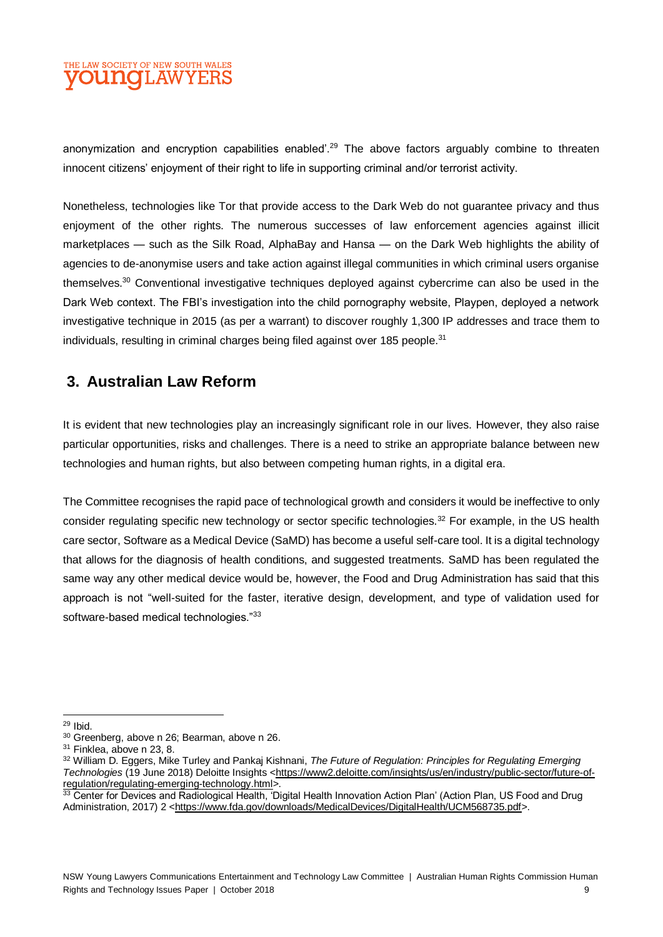anonymization and encryption capabilities enabled'.<sup>29</sup> The above factors arguably combine to threaten innocent citizens' enjoyment of their right to life in supporting criminal and/or terrorist activity.

Nonetheless, technologies like Tor that provide access to the Dark Web do not guarantee privacy and thus enjoyment of the other rights. The numerous successes of law enforcement agencies against illicit marketplaces — such as the Silk Road, AlphaBay and Hansa — on the Dark Web highlights the ability of agencies to de-anonymise users and take action against illegal communities in which criminal users organise themselves.<sup>30</sup> Conventional investigative techniques deployed against cybercrime can also be used in the Dark Web context. The FBI's investigation into the child pornography website, Playpen, deployed a network investigative technique in 2015 (as per a warrant) to discover roughly 1,300 IP addresses and trace them to individuals, resulting in criminal charges being filed against over 185 people.<sup>31</sup>

# **3. Australian Law Reform**

It is evident that new technologies play an increasingly significant role in our lives. However, they also raise particular opportunities, risks and challenges. There is a need to strike an appropriate balance between new technologies and human rights, but also between competing human rights, in a digital era.

The Committee recognises the rapid pace of technological growth and considers it would be ineffective to only consider regulating specific new technology or sector specific technologies.<sup>32</sup> For example, in the US health care sector, Software as a Medical Device (SaMD) has become a useful self-care tool. It is a digital technology that allows for the diagnosis of health conditions, and suggested treatments. SaMD has been regulated the same way any other medical device would be, however, the Food and Drug Administration has said that this approach is not "well-suited for the faster, iterative design, development, and type of validation used for software-based medical technologies."33

l

<sup>&</sup>lt;sup>29</sup> Ibid.

<sup>30</sup> Greenberg, above n 26; Bearman, above n 26.

<sup>&</sup>lt;sup>31</sup> Finklea, above n 23, 8.

<sup>32</sup> William D. Eggers, Mike Turley and Pankaj Kishnani, *The Future of Regulation: Principles for Regulating Emerging Technologies* (19 June 2018) Deloitte Insights [<https://www2.deloitte.com/insights/us/en/industry/public-sector/future-of](https://www2.deloitte.com/insights/us/en/industry/public-sector/future-of-regulation/regulating-emerging-technology.html)[regulation/regulating-emerging-technology.html>](https://www2.deloitte.com/insights/us/en/industry/public-sector/future-of-regulation/regulating-emerging-technology.html).

<sup>33</sup> Center for Devices and Radiological Health, 'Digital Health Innovation Action Plan' (Action Plan, US Food and Drug Administration, 2017) 2 [<https://www.fda.gov/downloads/MedicalDevices/DigitalHealth/UCM568735.pdf>](https://www.fda.gov/downloads/MedicalDevices/DigitalHealth/UCM568735.pdf).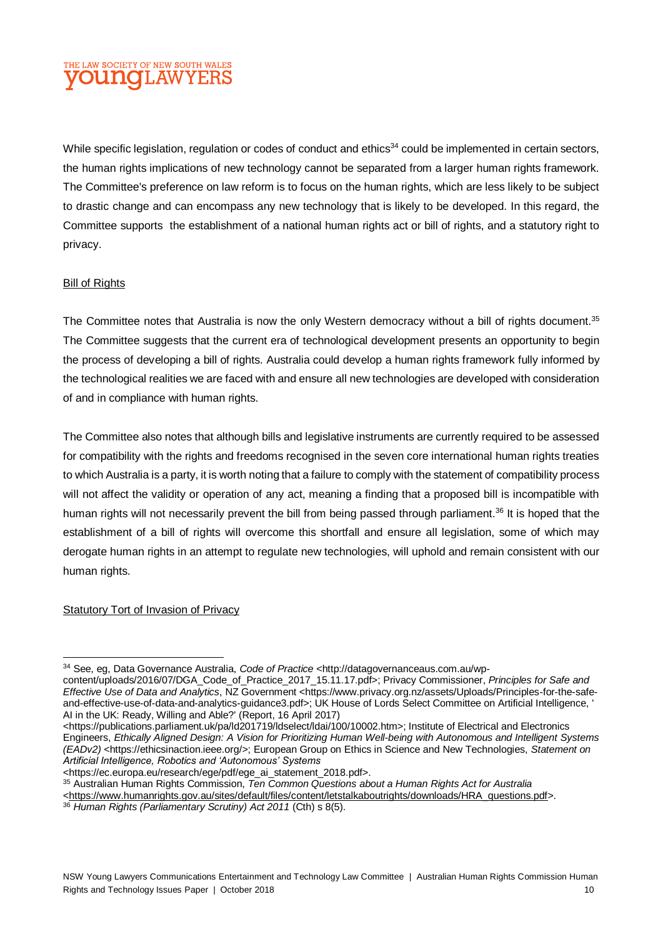While specific legislation, regulation or codes of conduct and ethics<sup>34</sup> could be implemented in certain sectors, the human rights implications of new technology cannot be separated from a larger human rights framework. The Committee's preference on law reform is to focus on the human rights, which are less likely to be subject to drastic change and can encompass any new technology that is likely to be developed. In this regard, the Committee supports the establishment of a national human rights act or bill of rights, and a statutory right to privacy.

#### **Bill of Rights**

The Committee notes that Australia is now the only Western democracy without a bill of rights document.<sup>35</sup> The Committee suggests that the current era of technological development presents an opportunity to begin the process of developing a bill of rights. Australia could develop a human rights framework fully informed by the technological realities we are faced with and ensure all new technologies are developed with consideration of and in compliance with human rights.

The Committee also notes that although bills and legislative instruments are currently required to be assessed for compatibility with the rights and freedoms recognised in the seven core international human rights treaties to which Australia is a party, it is worth noting that a failure to comply with the statement of compatibility process will not affect the validity or operation of any act, meaning a finding that a proposed bill is incompatible with human rights will not necessarily prevent the bill from being passed through parliament.<sup>36</sup> It is hoped that the establishment of a bill of rights will overcome this shortfall and ensure all legislation, some of which may derogate human rights in an attempt to regulate new technologies, will uphold and remain consistent with our human rights.

#### Statutory Tort of Invasion of Privacy

<https://ec.europa.eu/research/ege/pdf/ege\_ai\_statement\_2018.pdf>.

<sup>35</sup> Australian Human Rights Commission, *Ten Common Questions about a Human Rights Act for Australia* 

[<https://www.humanrights.gov.au/sites/default/files/content/letstalkaboutrights/downloads/HRA\\_questions.pdf>](https://www.humanrights.gov.au/sites/default/files/content/letstalkaboutrights/downloads/HRA_questions.pdf).

l <sup>34</sup> See, eg, Data Governance Australia, *Code of Practice* <http://datagovernanceaus.com.au/wp-

content/uploads/2016/07/DGA\_Code\_of\_Practice\_2017\_15.11.17.pdf>; Privacy Commissioner, *Principles for Safe and Effective Use of Data and Analytics*, NZ Government <https://www.privacy.org.nz/assets/Uploads/Principles-for-the-safeand-effective-use-of-data-and-analytics-guidance3.pdf>; UK House of Lords Select Committee on Artificial Intelligence, AI in the UK: Ready, Willing and Able?' (Report, 16 April 2017)

<sup>&</sup>lt;https://publications.parliament.uk/pa/ld201719/ldselect/ldai/100/10002.htm>; Institute of Electrical and Electronics Engineers, *Ethically Aligned Design: A Vision for Prioritizing Human Well-being with Autonomous and Intelligent Systems (EADv2)* <https://ethicsinaction.ieee.org/>; European Group on Ethics in Science and New Technologies, *Statement on Artificial Intelligence, Robotics and 'Autonomous' Systems*

<sup>36</sup> *Human Rights (Parliamentary Scrutiny) Act 2011* (Cth) s 8(5).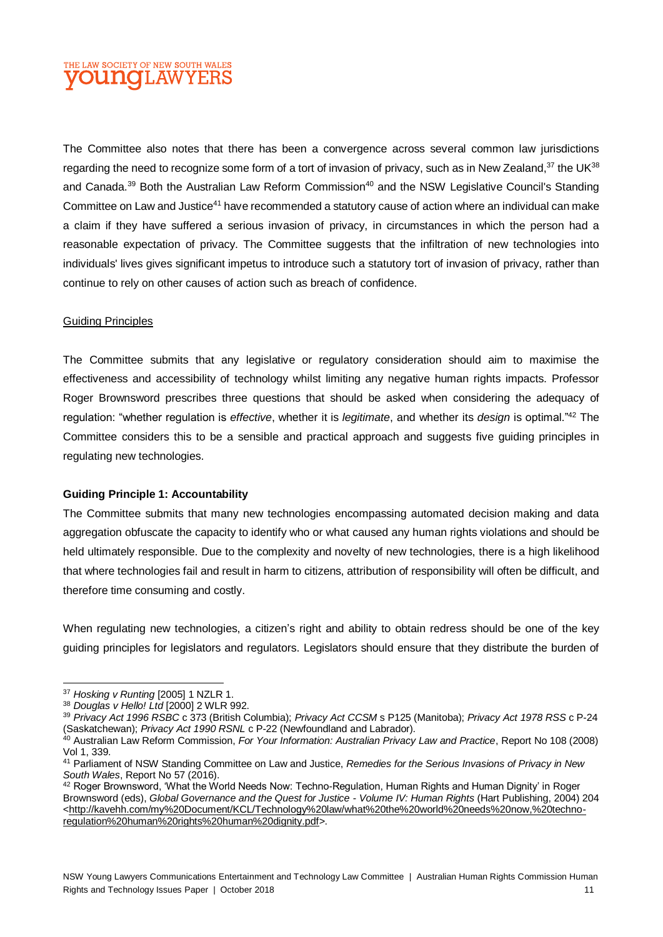The Committee also notes that there has been a convergence across several common law jurisdictions regarding the need to recognize some form of a tort of invasion of privacy, such as in New Zealand,<sup>37</sup> the UK<sup>38</sup> and Canada.<sup>39</sup> Both the Australian Law Reform Commission<sup>40</sup> and the NSW Legislative Council's Standing Committee on Law and Justice<sup>41</sup> have recommended a statutory cause of action where an individual can make a claim if they have suffered a serious invasion of privacy, in circumstances in which the person had a reasonable expectation of privacy. The Committee suggests that the infiltration of new technologies into individuals' lives gives significant impetus to introduce such a statutory tort of invasion of privacy, rather than continue to rely on other causes of action such as breach of confidence.

#### Guiding Principles

The Committee submits that any legislative or regulatory consideration should aim to maximise the effectiveness and accessibility of technology whilst limiting any negative human rights impacts. Professor Roger Brownsword prescribes three questions that should be asked when considering the adequacy of regulation: "whether regulation is *effective*, whether it is *legitimate*, and whether its *design* is optimal."<sup>42</sup> The Committee considers this to be a sensible and practical approach and suggests five guiding principles in regulating new technologies.

#### **Guiding Principle 1: Accountability**

The Committee submits that many new technologies encompassing automated decision making and data aggregation obfuscate the capacity to identify who or what caused any human rights violations and should be held ultimately responsible. Due to the complexity and novelty of new technologies, there is a high likelihood that where technologies fail and result in harm to citizens, attribution of responsibility will often be difficult, and therefore time consuming and costly.

When regulating new technologies, a citizen's right and ability to obtain redress should be one of the key guiding principles for legislators and regulators. Legislators should ensure that they distribute the burden of

l <sup>37</sup> *Hosking v Runting* [2005] 1 NZLR 1.

<sup>38</sup> *Douglas v Hello! Ltd* [2000] 2 WLR 992.

<sup>39</sup> *Privacy Act 1996 RSBC* c 373 (British Columbia); *Privacy Act CCSM* s P125 (Manitoba); *Privacy Act 1978 RSS* c P-24 (Saskatchewan); *Privacy Act 1990 RSNL* c P-22 (Newfoundland and Labrador).

<sup>40</sup> Australian Law Reform Commission, *For Your Information: Australian Privacy Law and Practice*, Report No 108 (2008) Vol 1, 339.

<sup>41</sup> Parliament of NSW Standing Committee on Law and Justice, *Remedies for the Serious Invasions of Privacy in New South Wales*, Report No 57 (2016).

<sup>&</sup>lt;sup>42</sup> Roger Brownsword, 'What the World Needs Now: Techno-Regulation, Human Rights and Human Dignity' in Roger Brownsword (eds), *Global Governance and the Quest for Justice - Volume IV: Human Rights* (Hart Publishing, 2004) 204 [<http://kavehh.com/my%20Document/KCL/Technology%20law/what%20the%20world%20needs%20now,%20techno](http://kavehh.com/my%20Document/KCL/Technology%20law/what%20the%20world%20needs%20now,%20techno-regulation%20human%20rights%20human%20dignity.pdf)[regulation%20human%20rights%20human%20dignity.pdf>](http://kavehh.com/my%20Document/KCL/Technology%20law/what%20the%20world%20needs%20now,%20techno-regulation%20human%20rights%20human%20dignity.pdf).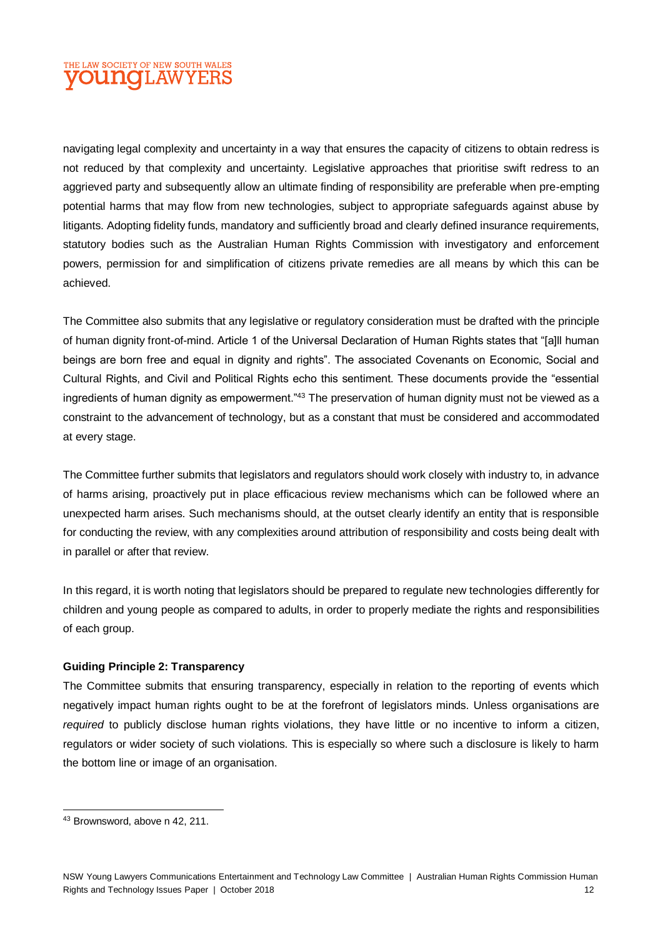navigating legal complexity and uncertainty in a way that ensures the capacity of citizens to obtain redress is not reduced by that complexity and uncertainty. Legislative approaches that prioritise swift redress to an aggrieved party and subsequently allow an ultimate finding of responsibility are preferable when pre-empting potential harms that may flow from new technologies, subject to appropriate safeguards against abuse by litigants. Adopting fidelity funds, mandatory and sufficiently broad and clearly defined insurance requirements, statutory bodies such as the Australian Human Rights Commission with investigatory and enforcement powers, permission for and simplification of citizens private remedies are all means by which this can be achieved.

The Committee also submits that any legislative or regulatory consideration must be drafted with the principle of human dignity front-of-mind. Article 1 of the Universal Declaration of Human Rights states that "[a]ll human beings are born free and equal in dignity and rights". The associated Covenants on Economic, Social and Cultural Rights, and Civil and Political Rights echo this sentiment. These documents provide the "essential ingredients of human dignity as empowerment."<sup>43</sup> The preservation of human dignity must not be viewed as a constraint to the advancement of technology, but as a constant that must be considered and accommodated at every stage.

The Committee further submits that legislators and regulators should work closely with industry to, in advance of harms arising, proactively put in place efficacious review mechanisms which can be followed where an unexpected harm arises. Such mechanisms should, at the outset clearly identify an entity that is responsible for conducting the review, with any complexities around attribution of responsibility and costs being dealt with in parallel or after that review.

In this regard, it is worth noting that legislators should be prepared to regulate new technologies differently for children and young people as compared to adults, in order to properly mediate the rights and responsibilities of each group.

#### **Guiding Principle 2: Transparency**

The Committee submits that ensuring transparency, especially in relation to the reporting of events which negatively impact human rights ought to be at the forefront of legislators minds. Unless organisations are *required* to publicly disclose human rights violations, they have little or no incentive to inform a citizen, regulators or wider society of such violations. This is especially so where such a disclosure is likely to harm the bottom line or image of an organisation.

 $\overline{a}$ 

<sup>43</sup> Brownsword, above n 42, 211.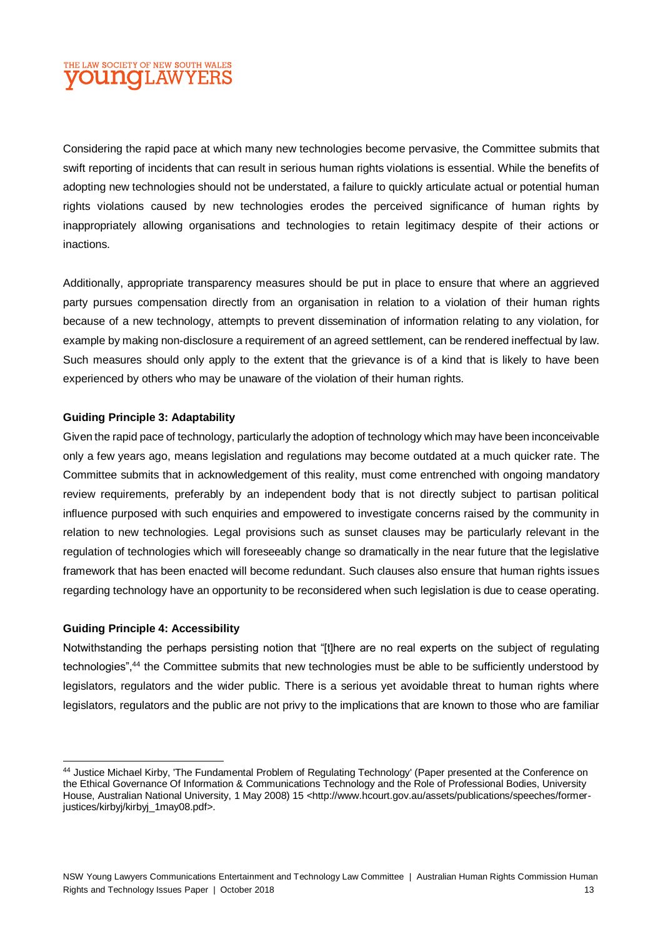Considering the rapid pace at which many new technologies become pervasive, the Committee submits that swift reporting of incidents that can result in serious human rights violations is essential. While the benefits of adopting new technologies should not be understated, a failure to quickly articulate actual or potential human rights violations caused by new technologies erodes the perceived significance of human rights by inappropriately allowing organisations and technologies to retain legitimacy despite of their actions or inactions.

Additionally, appropriate transparency measures should be put in place to ensure that where an aggrieved party pursues compensation directly from an organisation in relation to a violation of their human rights because of a new technology, attempts to prevent dissemination of information relating to any violation, for example by making non-disclosure a requirement of an agreed settlement, can be rendered ineffectual by law. Such measures should only apply to the extent that the grievance is of a kind that is likely to have been experienced by others who may be unaware of the violation of their human rights.

#### **Guiding Principle 3: Adaptability**

Given the rapid pace of technology, particularly the adoption of technology which may have been inconceivable only a few years ago, means legislation and regulations may become outdated at a much quicker rate. The Committee submits that in acknowledgement of this reality, must come entrenched with ongoing mandatory review requirements, preferably by an independent body that is not directly subject to partisan political influence purposed with such enquiries and empowered to investigate concerns raised by the community in relation to new technologies. Legal provisions such as sunset clauses may be particularly relevant in the regulation of technologies which will foreseeably change so dramatically in the near future that the legislative framework that has been enacted will become redundant. Such clauses also ensure that human rights issues regarding technology have an opportunity to be reconsidered when such legislation is due to cease operating.

#### **Guiding Principle 4: Accessibility**

l

Notwithstanding the perhaps persisting notion that "[t]here are no real experts on the subject of regulating technologies",<sup>44</sup> the Committee submits that new technologies must be able to be sufficiently understood by legislators, regulators and the wider public. There is a serious yet avoidable threat to human rights where legislators, regulators and the public are not privy to the implications that are known to those who are familiar

<sup>&</sup>lt;sup>44</sup> Justice Michael Kirby, 'The Fundamental Problem of Regulating Technology' (Paper presented at the Conference on the Ethical Governance Of Information & Communications Technology and the Role of Professional Bodies, University House, Australian National University, 1 May 2008) 15 <http://www.hcourt.gov.au/assets/publications/speeches/formerjustices/kirbyj/kirbyj\_1may08.pdf>.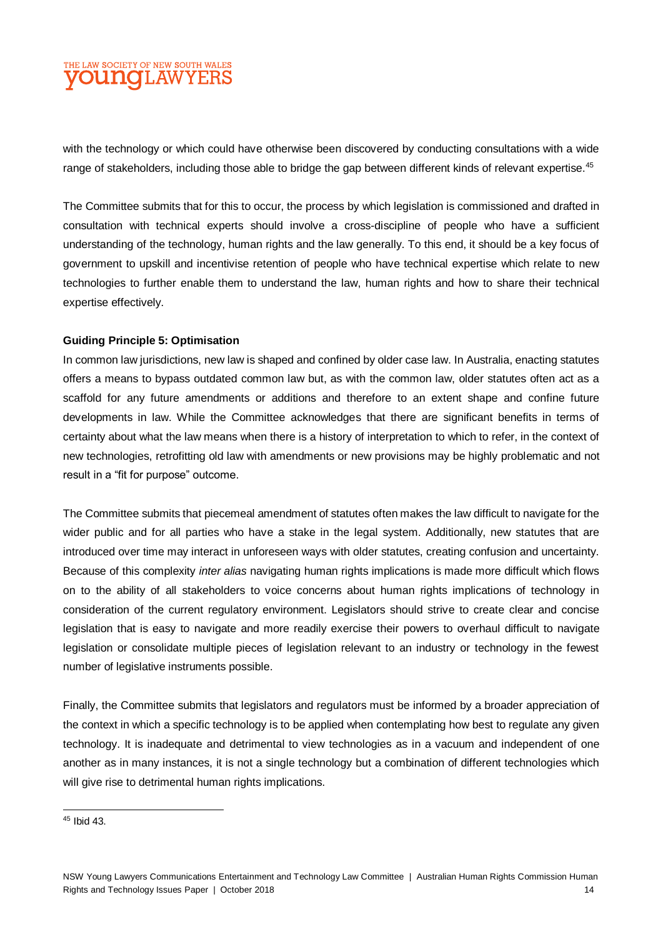with the technology or which could have otherwise been discovered by conducting consultations with a wide range of stakeholders, including those able to bridge the gap between different kinds of relevant expertise.<sup>45</sup>

The Committee submits that for this to occur, the process by which legislation is commissioned and drafted in consultation with technical experts should involve a cross-discipline of people who have a sufficient understanding of the technology, human rights and the law generally. To this end, it should be a key focus of government to upskill and incentivise retention of people who have technical expertise which relate to new technologies to further enable them to understand the law, human rights and how to share their technical expertise effectively.

#### **Guiding Principle 5: Optimisation**

In common law jurisdictions, new law is shaped and confined by older case law. In Australia, enacting statutes offers a means to bypass outdated common law but, as with the common law, older statutes often act as a scaffold for any future amendments or additions and therefore to an extent shape and confine future developments in law. While the Committee acknowledges that there are significant benefits in terms of certainty about what the law means when there is a history of interpretation to which to refer, in the context of new technologies, retrofitting old law with amendments or new provisions may be highly problematic and not result in a "fit for purpose" outcome.

The Committee submits that piecemeal amendment of statutes often makes the law difficult to navigate for the wider public and for all parties who have a stake in the legal system. Additionally, new statutes that are introduced over time may interact in unforeseen ways with older statutes, creating confusion and uncertainty. Because of this complexity *inter alias* navigating human rights implications is made more difficult which flows on to the ability of all stakeholders to voice concerns about human rights implications of technology in consideration of the current regulatory environment. Legislators should strive to create clear and concise legislation that is easy to navigate and more readily exercise their powers to overhaul difficult to navigate legislation or consolidate multiple pieces of legislation relevant to an industry or technology in the fewest number of legislative instruments possible.

Finally, the Committee submits that legislators and regulators must be informed by a broader appreciation of the context in which a specific technology is to be applied when contemplating how best to regulate any given technology. It is inadequate and detrimental to view technologies as in a vacuum and independent of one another as in many instances, it is not a single technology but a combination of different technologies which will give rise to detrimental human rights implications.

 $\overline{a}$ 

<sup>45</sup> Ibid 43.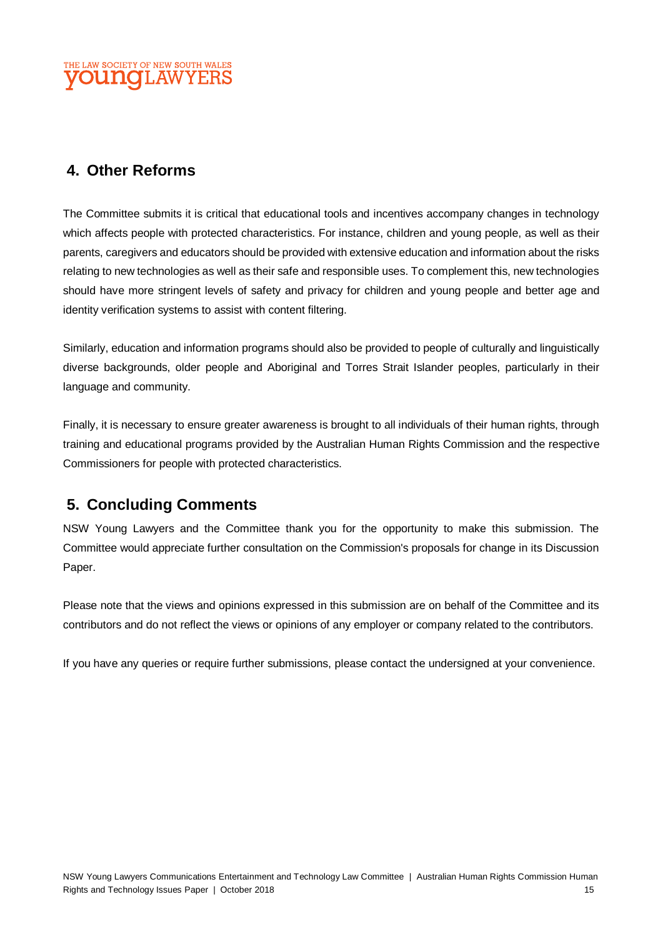# **4. Other Reforms**

The Committee submits it is critical that educational tools and incentives accompany changes in technology which affects people with protected characteristics. For instance, children and young people, as well as their parents, caregivers and educators should be provided with extensive education and information about the risks relating to new technologies as well as their safe and responsible uses. To complement this, new technologies should have more stringent levels of safety and privacy for children and young people and better age and identity verification systems to assist with content filtering.

Similarly, education and information programs should also be provided to people of culturally and linguistically diverse backgrounds, older people and Aboriginal and Torres Strait Islander peoples, particularly in their language and community.

Finally, it is necessary to ensure greater awareness is brought to all individuals of their human rights, through training and educational programs provided by the Australian Human Rights Commission and the respective Commissioners for people with protected characteristics.

# **5. Concluding Comments**

NSW Young Lawyers and the Committee thank you for the opportunity to make this submission. The Committee would appreciate further consultation on the Commission's proposals for change in its Discussion Paper.

Please note that the views and opinions expressed in this submission are on behalf of the Committee and its contributors and do not reflect the views or opinions of any employer or company related to the contributors.

If you have any queries or require further submissions, please contact the undersigned at your convenience.